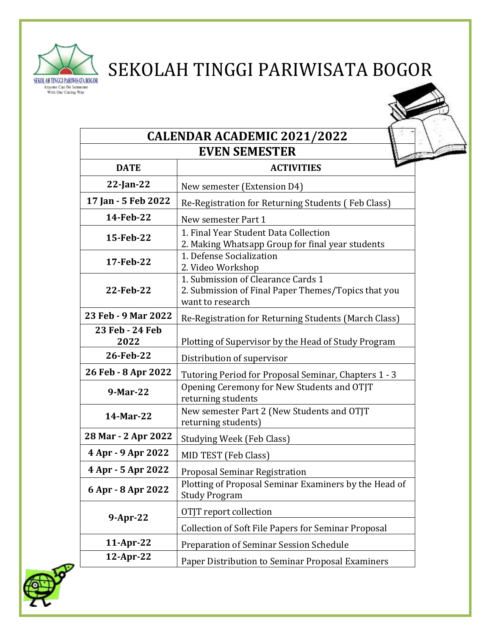

## SEKOLAH TINGGI PARIWISATA BOGOR

| <b>CALENDAR ACADEMIC 2021/2022</b> |                                                                                                               |  |  |
|------------------------------------|---------------------------------------------------------------------------------------------------------------|--|--|
|                                    | <b>EVEN SEMESTER</b>                                                                                          |  |  |
| <b>DATE</b>                        | <b>ACTIVITIES</b>                                                                                             |  |  |
| $22$ -Jan-22                       | New semester (Extension D4)                                                                                   |  |  |
| 17 Jan - 5 Feb 2022                | Re-Registration for Returning Students (Feb Class)                                                            |  |  |
| 14-Feb-22                          | New semester Part 1                                                                                           |  |  |
| 15-Feb-22                          | 1. Final Year Student Data Collection<br>2. Making Whatsapp Group for final year students                     |  |  |
| 17-Feb-22                          | 1. Defense Socialization<br>2. Video Workshop                                                                 |  |  |
| 22-Feb-22                          | 1. Submission of Clearance Cards 1<br>2. Submission of Final Paper Themes/Topics that you<br>want to research |  |  |
| 23 Feb - 9 Mar 2022                | Re-Registration for Returning Students (March Class)                                                          |  |  |
| 23 Feb - 24 Feb<br>2022            | Plotting of Supervisor by the Head of Study Program                                                           |  |  |
| 26-Feb-22                          | Distribution of supervisor                                                                                    |  |  |
| 26 Feb - 8 Apr 2022                | Tutoring Period for Proposal Seminar, Chapters 1 - 3                                                          |  |  |
| 9-Mar-22                           | Opening Ceremony for New Students and OTJT<br>returning students                                              |  |  |
| 14-Mar-22                          | New semester Part 2 (New Students and OTJT<br>returning students)                                             |  |  |
| 28 Mar - 2 Apr 2022                | Studying Week (Feb Class)                                                                                     |  |  |
| 4 Apr - 9 Apr 2022                 | MID TEST (Feb Class)                                                                                          |  |  |
| 4 Apr - 5 Apr 2022                 | <b>Proposal Seminar Registration</b>                                                                          |  |  |
| 6 Apr - 8 Apr 2022                 | Plotting of Proposal Seminar Examiners by the Head of<br><b>Study Program</b>                                 |  |  |
| $9$ -Apr-22                        | OTJT report collection                                                                                        |  |  |
|                                    | <b>Collection of Soft File Papers for Seminar Proposal</b>                                                    |  |  |
| 11-Apr-22                          | Preparation of Seminar Session Schedule                                                                       |  |  |
| $12$ -Apr-22                       | Paper Distribution to Seminar Proposal Examiners                                                              |  |  |